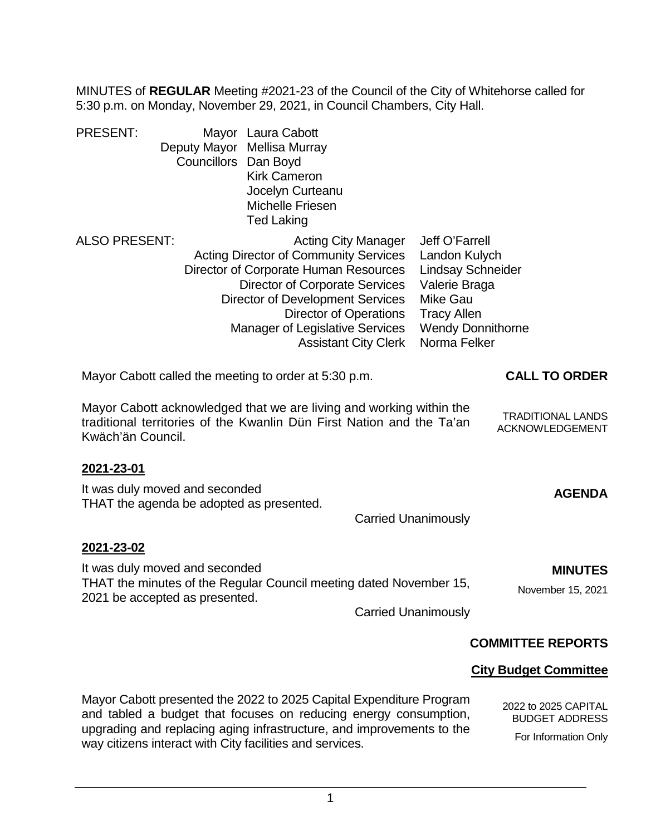MINUTES of **REGULAR** Meeting #2021-23 of the Council of the City of Whitehorse called for 5:30 p.m. on Monday, November 29, 2021, in Council Chambers, City Hall.

| <b>PRESENT:</b><br>Councillors Dan Boyd                                    | Mayor Laura Cabott<br>Deputy Mayor Mellisa Murray<br><b>Kirk Cameron</b><br>Jocelyn Curteanu<br><b>Michelle Friesen</b><br><b>Ted Laking</b>                                                                                                                                                                      |                                                                                                                                                                   |
|----------------------------------------------------------------------------|-------------------------------------------------------------------------------------------------------------------------------------------------------------------------------------------------------------------------------------------------------------------------------------------------------------------|-------------------------------------------------------------------------------------------------------------------------------------------------------------------|
| <b>ALSO PRESENT:</b>                                                       | <b>Acting City Manager</b><br><b>Acting Director of Community Services</b><br>Director of Corporate Human Resources<br><b>Director of Corporate Services</b><br><b>Director of Development Services</b><br><b>Director of Operations</b><br><b>Manager of Legislative Services</b><br><b>Assistant City Clerk</b> | Jeff O'Farrell<br>Landon Kulych<br><b>Lindsay Schneider</b><br>Valerie Braga<br><b>Mike Gau</b><br><b>Tracy Allen</b><br><b>Wendy Donnithorne</b><br>Norma Felker |
| Mayor Cabott called the meeting to order at 5:30 p.m.                      |                                                                                                                                                                                                                                                                                                                   | <b>CALL TO ORDER</b>                                                                                                                                              |
| Kwäch'än Council.                                                          | Mayor Cabott acknowledged that we are living and working within the<br>traditional territories of the Kwanlin Dün First Nation and the Ta'an                                                                                                                                                                      | <b>TRADITIONAL LANDS</b><br>ACKNOWLEDGEMENT                                                                                                                       |
| 2021-23-01                                                                 |                                                                                                                                                                                                                                                                                                                   |                                                                                                                                                                   |
| It was duly moved and seconded<br>THAT the agenda be adopted as presented. |                                                                                                                                                                                                                                                                                                                   | <b>AGENDA</b>                                                                                                                                                     |
|                                                                            | <b>Carried Unanimously</b>                                                                                                                                                                                                                                                                                        |                                                                                                                                                                   |
| 2021-23-02                                                                 |                                                                                                                                                                                                                                                                                                                   |                                                                                                                                                                   |
| It was duly moved and seconded                                             | THAT the minutes of the Regular Council meeting dated November 15,                                                                                                                                                                                                                                                | <b>MINUTES</b>                                                                                                                                                    |
| 2021 be accepted as presented.                                             | <b>Carried Unanimously</b>                                                                                                                                                                                                                                                                                        | November 15, 2021                                                                                                                                                 |
|                                                                            |                                                                                                                                                                                                                                                                                                                   |                                                                                                                                                                   |
|                                                                            |                                                                                                                                                                                                                                                                                                                   | <b>COMMITTEE REPORTS</b>                                                                                                                                          |
|                                                                            |                                                                                                                                                                                                                                                                                                                   | <b>City Budget Committee</b>                                                                                                                                      |

Mayor Cabott presented the 2022 to 2025 Capital Expenditure Program and tabled a budget that focuses on reducing energy consumption, upgrading and replacing aging infrastructure, and improvements to the way citizens interact with City facilities and services.

2022 to 2025 CAPITAL BUDGET ADDRESS For Information Only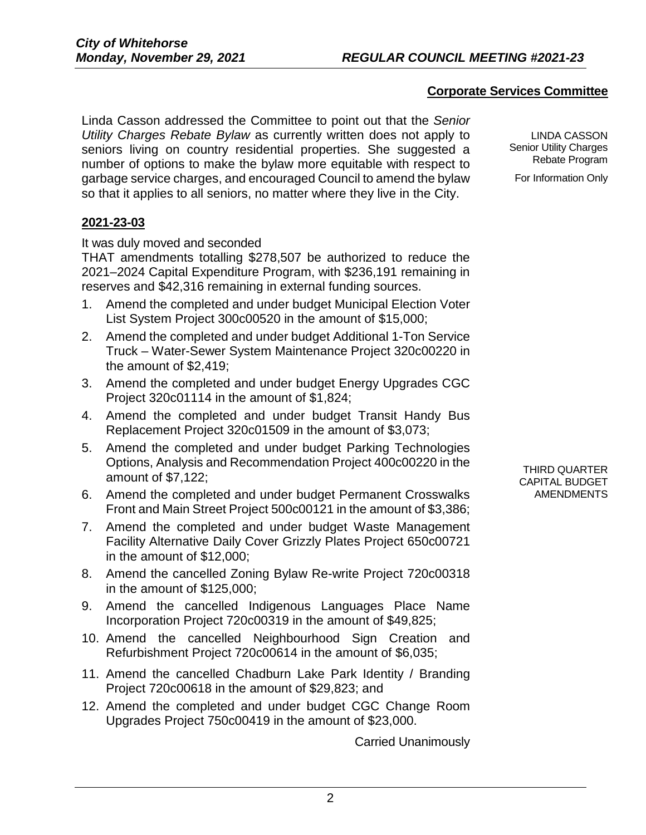# **Corporate Services Committee**

Linda Casson addressed the Committee to point out that the *Senior Utility Charges Rebate Bylaw* as currently written does not apply to seniors living on country residential properties. She suggested a number of options to make the bylaw more equitable with respect to garbage service charges, and encouraged Council to amend the bylaw so that it applies to all seniors, no matter where they live in the City.

**2021-23-03**

It was duly moved and seconded

THAT amendments totalling \$278,507 be authorized to reduce the 2021–2024 Capital Expenditure Program, with \$236,191 remaining in reserves and \$42,316 remaining in external funding sources.

- 1. Amend the completed and under budget Municipal Election Voter List System Project 300c00520 in the amount of \$15,000;
- 2. Amend the completed and under budget Additional 1-Ton Service Truck – Water-Sewer System Maintenance Project 320c00220 in the amount of \$2,419;
- 3. Amend the completed and under budget Energy Upgrades CGC Project 320c01114 in the amount of \$1,824;
- 4. Amend the completed and under budget Transit Handy Bus Replacement Project 320c01509 in the amount of \$3,073;
- 5. Amend the completed and under budget Parking Technologies Options, Analysis and Recommendation Project 400c00220 in the amount of \$7,122;
- 6. Amend the completed and under budget Permanent Crosswalks Front and Main Street Project 500c00121 in the amount of \$3,386;
- 7. Amend the completed and under budget Waste Management Facility Alternative Daily Cover Grizzly Plates Project 650c00721 in the amount of \$12,000;
- 8. Amend the cancelled Zoning Bylaw Re-write Project 720c00318 in the amount of \$125,000;
- 9. Amend the cancelled Indigenous Languages Place Name Incorporation Project 720c00319 in the amount of \$49,825;
- 10. Amend the cancelled Neighbourhood Sign Creation and Refurbishment Project 720c00614 in the amount of \$6,035;
- 11. Amend the cancelled Chadburn Lake Park Identity / Branding Project 720c00618 in the amount of \$29,823; and
- 12. Amend the completed and under budget CGC Change Room Upgrades Project 750c00419 in the amount of \$23,000.

Carried Unanimously

LINDA CASSON Senior Utility Charges Rebate Program

For Information Only

THIRD QUARTER CAPITAL BUDGET AMENDMENTS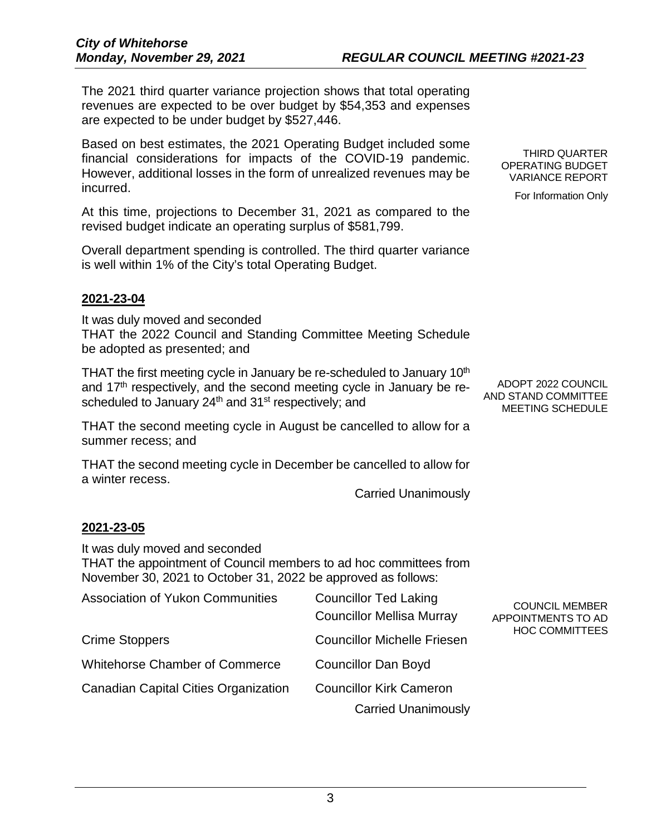The 2021 third quarter variance projection shows that total operating revenues are expected to be over budget by \$54,353 and expenses are expected to be under budget by \$527,446.

Based on best estimates, the 2021 Operating Budget included some financial considerations for impacts of the COVID-19 pandemic. However, additional losses in the form of unrealized revenues may be incurred.

At this time, projections to December 31, 2021 as compared to the revised budget indicate an operating surplus of \$581,799.

Overall department spending is controlled. The third quarter variance is well within 1% of the City's total Operating Budget.

## **2021-23-04**

It was duly moved and seconded THAT the 2022 Council and Standing Committee Meeting Schedule be adopted as presented; and

THAT the first meeting cycle in January be re-scheduled to January  $10<sup>th</sup>$ and  $17<sup>th</sup>$  respectively, and the second meeting cycle in January be rescheduled to January 24<sup>th</sup> and 31<sup>st</sup> respectively; and

THAT the second meeting cycle in August be cancelled to allow for a summer recess; and

THAT the second meeting cycle in December be cancelled to allow for a winter recess.

Carried Unanimously

## **2021-23-05**

It was duly moved and seconded

THAT the appointment of Council members to ad hoc committees from November 30, 2021 to October 31, 2022 be approved as follows:

| <b>Association of Yukon Communities</b>     | <b>Councillor Ted Laking</b><br><b>Councillor Mellisa Murray</b> | <b>COUNCIL MEMBER</b><br>APPOINTMENTS TO AD |  |
|---------------------------------------------|------------------------------------------------------------------|---------------------------------------------|--|
| Crime Stoppers                              | <b>Councillor Michelle Friesen</b>                               | <b>HOC COMMITTEES</b>                       |  |
| <b>Whitehorse Chamber of Commerce</b>       | <b>Councillor Dan Boyd</b>                                       |                                             |  |
| <b>Canadian Capital Cities Organization</b> | <b>Councillor Kirk Cameron</b>                                   |                                             |  |
|                                             | <b>Carried Unanimously</b>                                       |                                             |  |

THIRD QUARTER OPERATING BUDGET VARIANCE REPORT

For Information Only

ADOPT 2022 COUNCIL AND STAND COMMITTEE MEETING SCHEDULE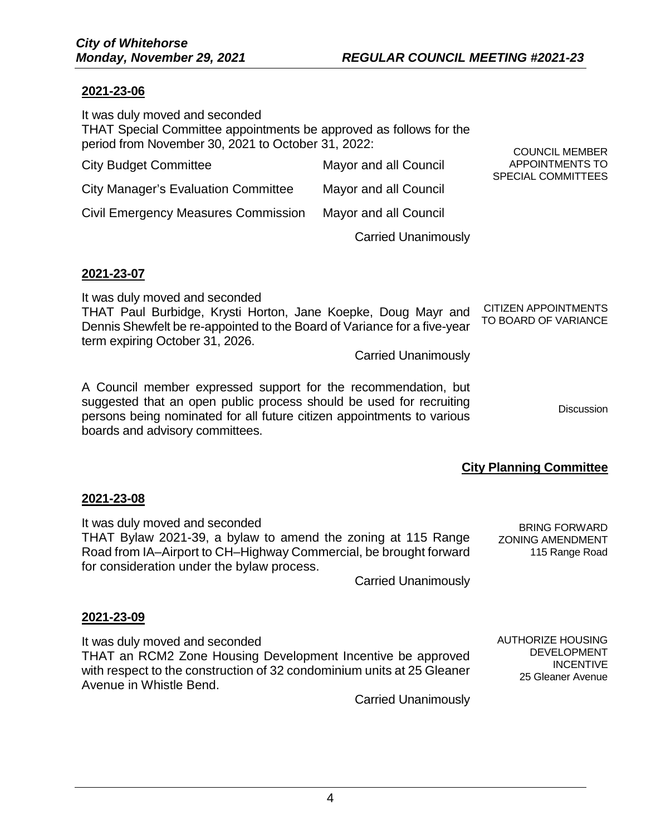## **2021-23-06**

| It was duly moved and seconded<br>THAT Special Committee appointments be approved as follows for the<br>period from November 30, 2021 to October 31, 2022: |                            | <b>COUNCIL MEMBER</b>                        |
|------------------------------------------------------------------------------------------------------------------------------------------------------------|----------------------------|----------------------------------------------|
| <b>City Budget Committee</b>                                                                                                                               | Mayor and all Council      | APPOINTMENTS TO<br><b>SPECIAL COMMITTEES</b> |
| <b>City Manager's Evaluation Committee</b>                                                                                                                 | Mayor and all Council      |                                              |
| <b>Civil Emergency Measures Commission</b>                                                                                                                 | Mayor and all Council      |                                              |
|                                                                                                                                                            | <b>Carried Unanimously</b> |                                              |

#### **2021-23-07**

It was duly moved and seconded

| It was duly moved and scoonacd                                           |                             |
|--------------------------------------------------------------------------|-----------------------------|
| THAT Paul Burbidge, Krysti Horton, Jane Koepke, Doug Mayr and            | <b>CITIZEN APPOINTMENTS</b> |
| Dennis Shewfelt be re-appointed to the Board of Variance for a five-year | TO BOARD OF VARIANCE        |
| term expiring October 31, 2026.                                          |                             |

Carried Unanimously

A Council member expressed support for the recommendation, but suggested that an open public process should be used for recruiting persons being nominated for all future citizen appointments to various boards and advisory committees. **Discussion** 

# **City Planning Committee**

AUTHORIZE HOUSING DEVELOPMENT INCENTIVE 25 Gleaner Avenue

#### **2021-23-08**

It was duly moved and seconded THAT Bylaw 2021-39, a bylaw to amend the zoning at 115 Range Road from IA–Airport to CH–Highway Commercial, be brought forward for consideration under the bylaw process. BRING FORWARD ZONING AMENDMENT 115 Range Road

Carried Unanimously

#### **2021-23-09**

It was duly moved and seconded THAT an RCM2 Zone Housing Development Incentive be approved with respect to the construction of 32 condominium units at 25 Gleaner Avenue in Whistle Bend.

Carried Unanimously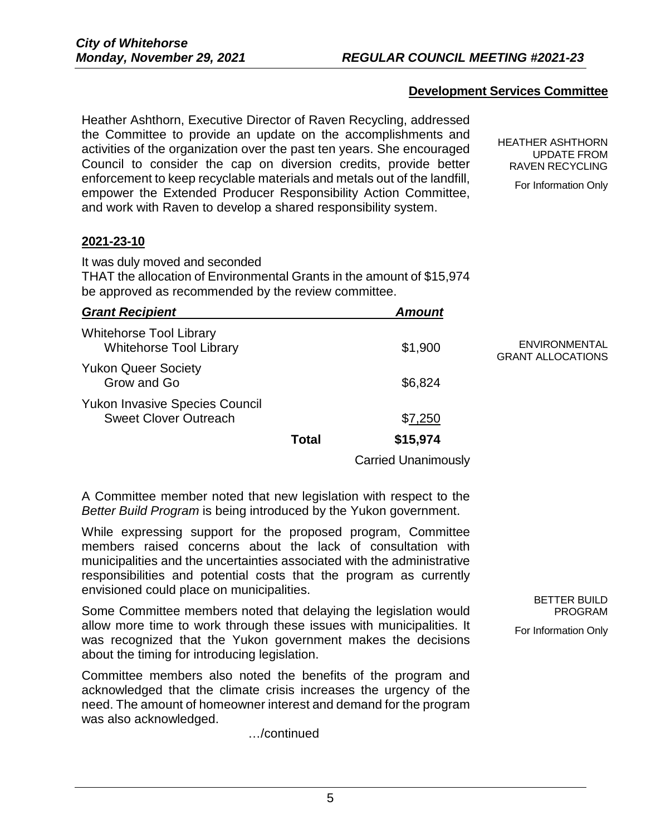## **Development Services Committee**

Heather Ashthorn, Executive Director of Raven Recycling, addressed the Committee to provide an update on the accomplishments and activities of the organization over the past ten years. She encouraged Council to consider the cap on diversion credits, provide better enforcement to keep recyclable materials and metals out of the landfill, empower the Extended Producer Responsibility Action Committee, and work with Raven to develop a shared responsibility system.

HEATHER ASHTHORN UPDATE FROM RAVEN RECYCLING

For Information Only

#### **2021-23-10**

It was duly moved and seconded

THAT the allocation of Environmental Grants in the amount of \$15,974 be approved as recommended by the review committee.

| <b>Grant Recipient</b>                                                |              | <b>Amount</b> |                                                  |
|-----------------------------------------------------------------------|--------------|---------------|--------------------------------------------------|
| <b>Whitehorse Tool Library</b><br><b>Whitehorse Tool Library</b>      |              | \$1,900       | <b>ENVIRONMENTAL</b><br><b>GRANT ALLOCATIONS</b> |
| <b>Yukon Queer Society</b><br>Grow and Go                             |              | \$6,824       |                                                  |
| <b>Yukon Invasive Species Council</b><br><b>Sweet Clover Outreach</b> |              | \$7,250       |                                                  |
|                                                                       | <b>Total</b> | \$15,974      |                                                  |

Carried Unanimously

A Committee member noted that new legislation with respect to the *Better Build Program* is being introduced by the Yukon government.

While expressing support for the proposed program, Committee members raised concerns about the lack of consultation with municipalities and the uncertainties associated with the administrative responsibilities and potential costs that the program as currently envisioned could place on municipalities.

Some Committee members noted that delaying the legislation would allow more time to work through these issues with municipalities. It was recognized that the Yukon government makes the decisions about the timing for introducing legislation.

Committee members also noted the benefits of the program and acknowledged that the climate crisis increases the urgency of the need. The amount of homeowner interest and demand for the program was also acknowledged.

…/continued

BETTER BUILD PROGRAM For Information Only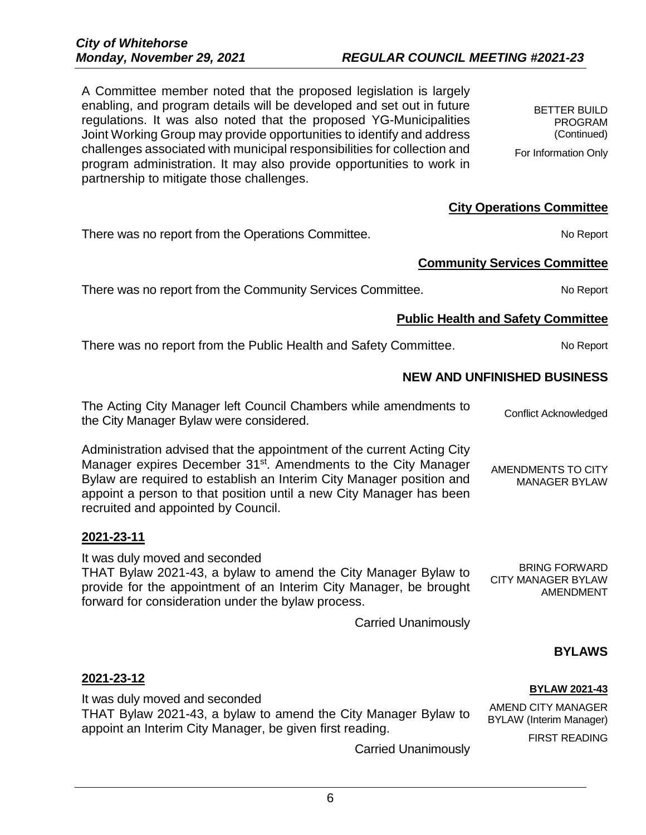6

A Committee member noted that the proposed legislation is largely enabling, and program details will be developed and set out in future regulations. It was also noted that the proposed YG-Municipalities Joint Working Group may provide opportunities to identify and address challenges associated with municipal responsibilities for collection and program administration. It may also provide opportunities to work in partnership to mitigate those challenges.

BETTER BUILD PROGRAM (Continued) For Information Only

## **City Operations Committee**



*Monday, November 29, 2021 REGULAR COUNCIL MEETING #2021-23*